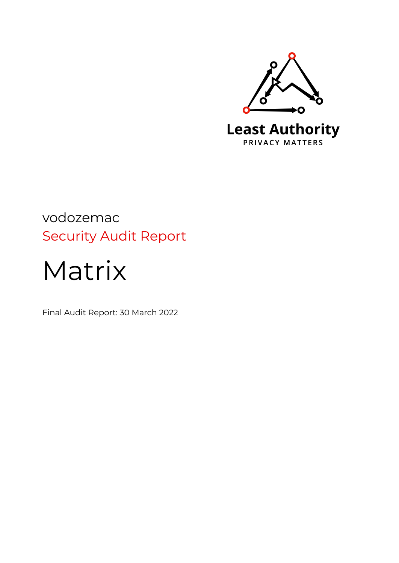

## vodozemac Security Audit Report

# Matrix

Final Audit Report: 30 March 2022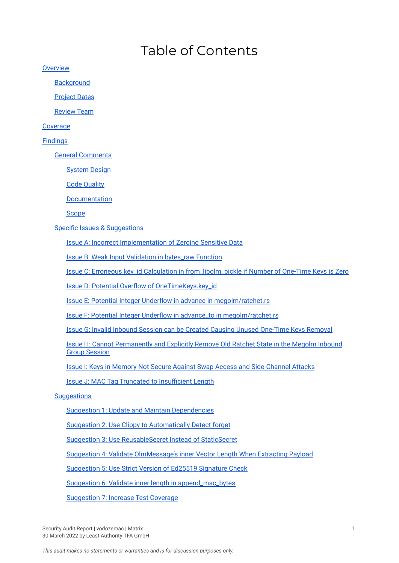## Table of Contents

**[Overview](#page-3-0)** 

**[Background](#page-3-1)** 

[Project](#page-3-2) Dates

[Review](#page-3-3) Team

**[Coverage](#page-3-4)** 

#### [Findings](#page-4-0)

General [Comments](#page-4-1)

[System](#page-4-2) Design

Code [Quality](#page-5-0)

[Documentation](#page-6-0)

**[Scope](#page-7-0)** 

Specific Issues & [Suggestions](#page-7-1)

Issue A: Incorrect [Implementation](#page-8-0) of Zeroing Sensitive Data

Issue B: Weak Input Validation in [bytes\\_raw](#page-9-0) Function

Issue C: Erroneous key\_id Calculation in [from\\_libolm\\_pickle](#page-9-1) if Number of One-Time Keys is Zero

Issue D: Potential Overflow of [OneTimeKeys.key\\_id](#page-10-0)

Issue E: Potential Integer Underflow in advance in [megolm/ratchet.rs](#page-11-0)

Issue F: Potential Integer Underflow in advance\_to in [megolm/ratchet.rs](#page-11-1)

Issue G: Invalid Inbound Session can be Created Causing Unused [One-Time](#page-12-0) Keys Removal

Issue H: Cannot [Permanently](#page-13-0) and Explicitly Remove Old Ratchet State in the Megolm Inbound Group [Session](#page-13-0)

Issue I: Keys in Memory Not Secure Against Swap Access and [Side-Channel](#page-13-1) Attacks

Issue J: MAC Tag Truncated to [Insufficient](#page-14-0) Length

**[Suggestions](#page-16-0)** 

Suggestion 1: Update and Maintain [Dependencies](#page-16-1)

Suggestion 2: Use Clippy to [Automatically](#page-16-2) Detect forget

Suggestion 3: Use [ReusableSecret](#page-16-3) Instead of StaticSecret

Suggestion 4: Validate [OlmMessage's](#page-17-0) inner Vector Length When Extracting Payload

[Suggestion](#page-17-1) 5: Use Strict Version of Ed25519 Signature Check

Suggestion 6: Validate inner length in [append\\_mac\\_bytes](#page-18-0)

[Suggestion](#page-18-1) 7: Increase Test Coverage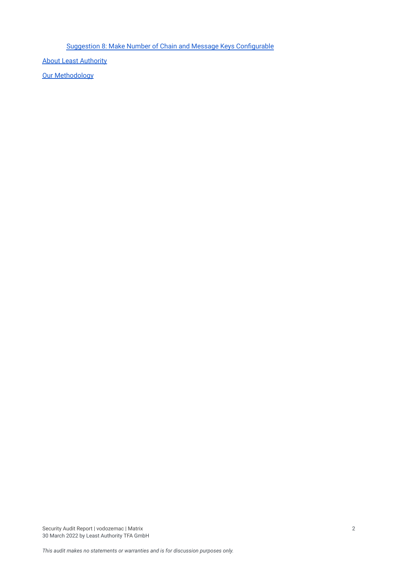Suggestion 8: Make Number of Chain and Message Keys [Configurable](#page-19-0)

About Least [Authority](#page-20-0)

**Our [Methodology](#page-20-1)**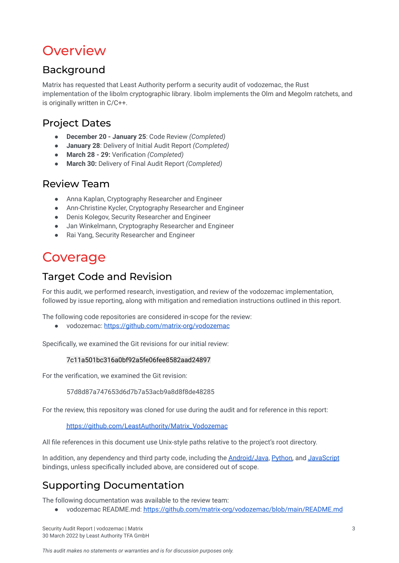## <span id="page-3-0"></span>**Overview**

## <span id="page-3-1"></span>Background

Matrix has requested that Least Authority perform a security audit of vodozemac, the Rust implementation of the libolm cryptographic library. libolm implements the Olm and Megolm ratchets, and is originally written in C/C++.

## <span id="page-3-2"></span>Project Dates

- **December 20 - January 25**: Code Review *(Completed)*
- **January 28**: Delivery of Initial Audit Report *(Completed)*
- **March 28 - 29:** Verification *(Completed)*
- **March 30:** Delivery of Final Audit Report *(Completed)*

## <span id="page-3-3"></span>Review Team

- Anna Kaplan, Cryptography Researcher and Engineer
- Ann-Christine Kycler, Cryptography Researcher and Engineer
- Denis Kolegov, Security Researcher and Engineer
- Jan Winkelmann, Cryptography Researcher and Engineer
- **Rai Yang, Security Researcher and Engineer**

## <span id="page-3-4"></span>Coverage

## Target Code and Revision

For this audit, we performed research, investigation, and review of the vodozemac implementation, followed by issue reporting, along with mitigation and remediation instructions outlined in this report.

The following code repositories are considered in-scope for the review:

● vodozemac: <https://github.com/matrix-org/vodozemac>

Specifically, we examined the Git revisions for our initial review:

#### 7c11a501bc316a0bf92a5fe06fee8582aad24897

For the verification, we examined the Git revision:

57d8d87a747653d6d7b7a53acb9a8d8f8de48285

For the review, this repository was cloned for use during the audit and for reference in this report:

[https://github.com/LeastAuthority/Matrix\\_Vodozemac](https://github.com/LeastAuthority/Matrix_Vodozemac)

All file references in this document use Unix-style paths relative to the project's root directory.

In addition, any dependency and third party code, including the **[Android/Java](https://gitlab.matrix.org/matrix-org/olm/-/tree/master/android), Python**, and [JavaScript](https://gitlab.matrix.org/matrix-org/olm/-/tree/master/javascript) bindings, unless specifically included above, are considered out of scope.

## Supporting Documentation

The following documentation was available to the review team:

vodozemac README.md: <https://github.com/matrix-org/vodozemac/blob/main/README.md>

Security Audit Report | vodozemac | Matrix 3 30 March 2022 by Least Authority TFA GmbH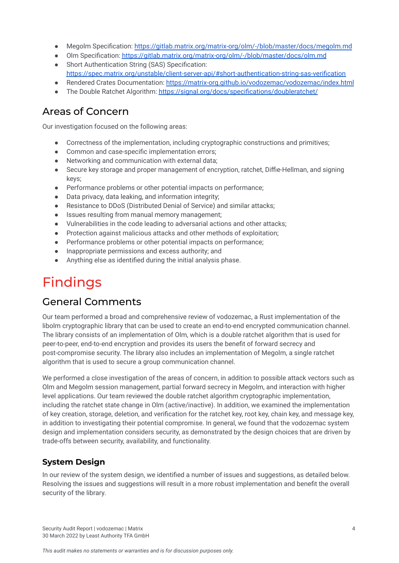- Megolm Specification: <https://gitlab.matrix.org/matrix-org/olm/-/blob/master/docs/megolm.md>
- Olm Specification: <https://gitlab.matrix.org/matrix-org/olm/-/blob/master/docs/olm.md>
- Short Authentication String (SAS) Specification: <https://spec.matrix.org/unstable/client-server-api/#short-authentication-string-sas-verification>
- Rendered Crates Documentation: <https://matrix-org.github.io/vodozemac/vodozemac/index.html>
- The Double Ratchet Algorithm: <https://signal.org/docs/specifications/doubleratchet/>

## Areas of Concern

Our investigation focused on the following areas:

- Correctness of the implementation, including cryptographic constructions and primitives;
- Common and case-specific implementation errors:
- Networking and communication with external data;
- Secure key storage and proper management of encryption, ratchet, Diffie-Hellman, and signing keys;
- Performance problems or other potential impacts on performance:
- Data privacy, data leaking, and information integrity;
- Resistance to DDoS (Distributed Denial of Service) and similar attacks;
- Issues resulting from manual memory management;
- Vulnerabilities in the code leading to adversarial actions and other attacks:
- Protection against malicious attacks and other methods of exploitation:
- Berformance problems or other potential impacts on performance;
- Inappropriate permissions and excess authority; and
- Anything else as identified during the initial analysis phase.

## <span id="page-4-0"></span>Findings

## <span id="page-4-1"></span>General Comments

Our team performed a broad and comprehensive review of vodozemac, a Rust implementation of the libolm cryptographic library that can be used to create an end-to-end encrypted communication channel. The library consists of an implementation of Olm, which is a double ratchet algorithm that is used for peer-to-peer, end-to-end encryption and provides its users the benefit of forward secrecy and post-compromise security. The library also includes an implementation of Megolm, a single ratchet algorithm that is used to secure a group communication channel.

We performed a close investigation of the areas of concern, in addition to possible attack vectors such as Olm and Megolm session management, partial forward secrecy in Megolm, and interaction with higher level applications. Our team reviewed the double ratchet algorithm cryptographic implementation, including the ratchet state change in Olm (active/inactive). In addition, we examined the implementation of key creation, storage, deletion, and verification for the ratchet key, root key, chain key, and message key, in addition to investigating their potential compromise. In general, we found that the vodozemac system design and implementation considers security, as demonstrated by the design choices that are driven by trade-offs between security, availability, and functionality.

## <span id="page-4-2"></span>**System Design**

In our review of the system design, we identified a number of issues and suggestions, as detailed below. Resolving the issues and suggestions will result in a more robust implementation and benefit the overall security of the library.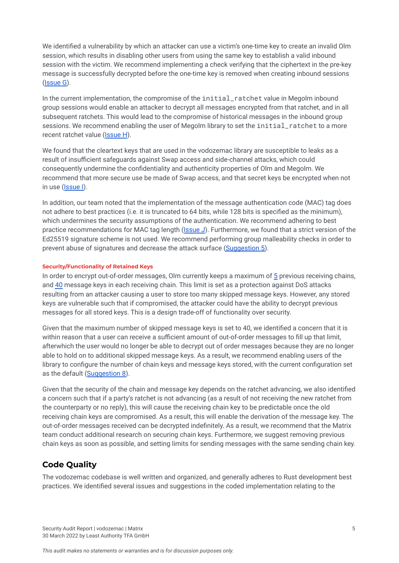We identified a vulnerability by which an attacker can use a victim's one-time key to create an invalid Olm session, which results in disabling other users from using the same key to establish a valid inbound session with the victim. We recommend implementing a check verifying that the ciphertext in the pre-key message is successfully decrypted before the one-time key is removed when creating inbound sessions ([Issue](#page-12-1) G).

In the current implementation, the compromise of the initial\_ratchet value in Megolm inbound group sessions would enable an attacker to decrypt all messages encrypted from that ratchet, and in all subsequent ratchets. This would lead to the compromise of historical messages in the inbound group sessions. We recommend enabling the user of Megolm library to set the initial ratchet to a more recent ratchet value ([Issue](#page-13-2) H).

We found that the cleartext keys that are used in the vodozemac library are susceptible to leaks as a result of insufficient safeguards against Swap access and side-channel attacks, which could consequently undermine the confidentiality and authenticity properties of Olm and Megolm. We recommend that more secure use be made of Swap access, and that secret keys be encrypted when not in use ([Issue](#page-13-3) I).

In addition, our team noted that the implementation of the message authentication code (MAC) tag does not adhere to best practices (i.e. it is truncated to 64 bits, while 128 bits is specified as the minimum), which undermines the security assumptions of the authentication. We recommend adhering to best practice recommendations for MAC tag length (*[Issue](#page-14-0) J*). Furthermore, we found that a strict version of the Ed25519 signature scheme is not used. We recommend performing group malleability checks in order to prevent abuse of signatures and decrease the attack surface [\(Suggestion](#page-17-1) 5).

#### **Security/Functionality of Retained Keys**

In order to encrypt out-of-order messages, Olm currently keeps a maximum of [5](https://github.com/LeastAuthority/Matrix_Vodozemac/blob/master/src/olm/session/mod.rs#L52) previous receiving chains, and [40](https://github.com/LeastAuthority/Matrix_Vodozemac/blob/7c11a501bc316a0bf92a5fe06fee8582aad24897/src/olm/session/receiver_chain.rs#L25) message keys in each receiving chain. This limit is set as a protection against DoS attacks resulting from an attacker causing a user to store too many skipped message keys. However, any stored keys are vulnerable such that if compromised, the attacker could have the ability to decrypt previous messages for all stored keys. This is a design trade-off of functionality over security.

Given that the maximum number of skipped message keys is set to 40, we identified a concern that it is within reason that a user can receive a sufficient amount of out-of-order messages to fill up that limit, afterwhich the user would no longer be able to decrypt out of order messages because they are no longer able to hold on to additional skipped message keys. As a result, we recommend enabling users of the library to configure the number of chain keys and message keys stored, with the current configuration set as the default ([Suggestion](#page-19-0) 8).

Given that the security of the chain and message key depends on the ratchet advancing, we also identified a concern such that if a party's ratchet is not advancing (as a result of not receiving the new ratchet from the counterparty or no reply), this will cause the receiving chain key to be predictable once the old receiving chain keys are compromised. As a result, this will enable the derivation of the message key. The out-of-order messages received can be decrypted indefinitely. As a result, we recommend that the Matrix team conduct additional research on securing chain keys. Furthermore, we suggest removing previous chain keys as soon as possible, and setting limits for sending messages with the same sending chain key.

## <span id="page-5-0"></span>**Code Quality**

The vodozemac codebase is well written and organized, and generally adheres to Rust development best practices. We identified several issues and suggestions in the coded implementation relating to the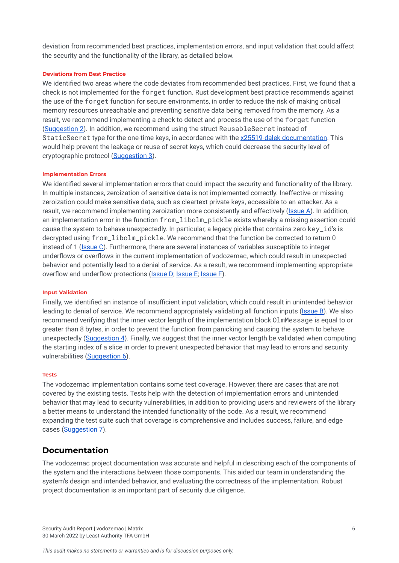deviation from recommended best practices, implementation errors, and input validation that could affect the security and the functionality of the library, as detailed below.

#### **Deviations from Best Practice**

We identified two areas where the code deviates from recommended best practices. First, we found that a check is not implemented for the forget function. Rust development best practice recommends against the use of the forget function for secure environments, in order to reduce the risk of making critical memory resources unreachable and preventing sensitive data being removed from the memory. As a result, we recommend implementing a check to detect and process the use of the forget function ([Suggestion](#page-16-2) 2). In addition, we recommend using the struct ReusableSecret instead of StaticSecret type for the one-time keys, in accordance with the x25519-dalek [documentation.](https://docs.rs/x25519-dalek/1.2.0/x25519_dalek/struct.ReusableSecret.html) This would help prevent the leakage or reuse of secret keys, which could decrease the security level of cryptographic protocol [\(Suggestion](#page-16-3) 3).

#### **Implementation Errors**

We identified several implementation errors that could impact the security and functionality of the library. In multiple instances, zeroization of sensitive data is not implemented correctly. Ineffective or missing zeroization could make sensitive data, such as cleartext private keys, accessible to an attacker. As a result, we recommend implementing zeroization more consistently and effectively ([Issue](#page-8-0) A). In addition, an implementation error in the function from\_libolm\_pickle exists whereby a missing assertion could cause the system to behave unexpectedly. In particular, a legacy pickle that contains zero key\_id's is decrypted using from\_libolm\_pickle. We recommend that the function be corrected to return 0 instead of 1 ([Issue](#page-9-2) C). Furthermore, there are several instances of variables susceptible to integer underflows or overflows in the current implementation of vodozemac, which could result in unexpected behavior and potentially lead to a denial of service. As a result, we recommend implementing appropriate overflow and underflow protections ([Issue](#page-11-1) D; Issue E; Issue F).

#### **Input Validation**

Finally, we identified an instance of insufficient input validation, which could result in unintended behavior leading to denial of service. We recommend appropriately validating all function inputs ([Issue](#page-9-0) B). We also recommend verifying that the inner vector length of the implementation block OlmMessage is equal to or greater than 8 bytes, in order to prevent the function from panicking and causing the system to behave unexpectedly [\(Suggestion](#page-17-2) 4). Finally, we suggest that the inner vector length be validated when computing the starting index of a slice in order to prevent unexpected behavior that may lead to errors and security vulnerabilities [\(Suggestion](#page-18-0) 6).

#### **Tests**

The vodozemac implementation contains some test coverage. However, there are cases that are not covered by the existing tests. Tests help with the detection of implementation errors and unintended behavior that may lead to security vulnerabilities, in addition to providing users and reviewers of the library a better means to understand the intended functionality of the code. As a result, we recommend expanding the test suite such that coverage is comprehensive and includes success, failure, and edge cases ([Suggestion](#page-18-1) 7).

#### <span id="page-6-0"></span>**Documentation**

The vodozemac project documentation was accurate and helpful in describing each of the components of the system and the interactions between those components. This aided our team in understanding the system's design and intended behavior, and evaluating the correctness of the implementation. Robust project documentation is an important part of security due diligence.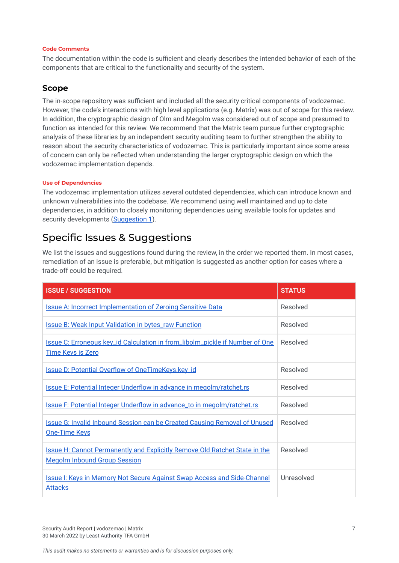#### **Code Comments**

The documentation within the code is sufficient and clearly describes the intended behavior of each of the components that are critical to the functionality and security of the system.

### <span id="page-7-0"></span>**Scope**

The in-scope repository was sufficient and included all the security critical components of vodozemac. However, the code's interactions with high level applications (e.g. Matrix) was out of scope for this review. In addition, the cryptographic design of Olm and Megolm was considered out of scope and presumed to function as intended for this review. We recommend that the Matrix team pursue further cryptographic analysis of these libraries by an independent security auditing team to further strengthen the ability to reason about the security characteristics of vodozemac. This is particularly important since some areas of concern can only be reflected when understanding the larger cryptographic design on which the vodozemac implementation depends.

#### **Use of Dependencies**

The vodozemac implementation utilizes several outdated dependencies, which can introduce known and unknown vulnerabilities into the codebase. We recommend using well maintained and up to date dependencies, in addition to closely monitoring dependencies using available tools for updates and security developments [\(Suggestion](#page-16-1) 1).

## <span id="page-7-1"></span>Specific Issues & Suggestions

We list the issues and suggestions found during the review, in the order we reported them. In most cases, remediation of an issue is preferable, but mitigation is suggested as another option for cases where a trade-off could be required.

| <b>ISSUE / SUGGESTION</b>                                                                                                | <b>STATUS</b> |
|--------------------------------------------------------------------------------------------------------------------------|---------------|
| <b>Issue A: Incorrect Implementation of Zeroing Sensitive Data</b>                                                       | Resolved      |
| <b>Issue B: Weak Input Validation in bytes_raw Function</b>                                                              | Resolved      |
| <b>Issue C: Erroneous key_id Calculation in from_libolm_pickle if Number of One</b><br><b>Time Keys is Zero</b>          | Resolved      |
| <b>Issue D: Potential Overflow of OneTimeKeys.key_id</b>                                                                 | Resolved      |
| <b>Issue E: Potential Integer Underflow in advance in megolm/ratchet.rs</b>                                              | Resolved      |
| Issue F: Potential Integer Underflow in advance_to in megolm/ratchet.rs                                                  | Resolved      |
| <b>Issue G: Invalid Inbound Session can be Created Causing Removal of Unused</b><br><b>One-Time Keys</b>                 | Resolved      |
| <b>Issue H: Cannot Permanently and Explicitly Remove Old Ratchet State in the</b><br><b>Megolm Inbound Group Session</b> | Resolved      |
| <b>Issue I: Keys in Memory Not Secure Against Swap Access and Side-Channel</b><br><b>Attacks</b>                         | Unresolved    |

Security Audit Report | vodozemac | Matrix 7 30 March 2022 by Least Authority TFA GmbH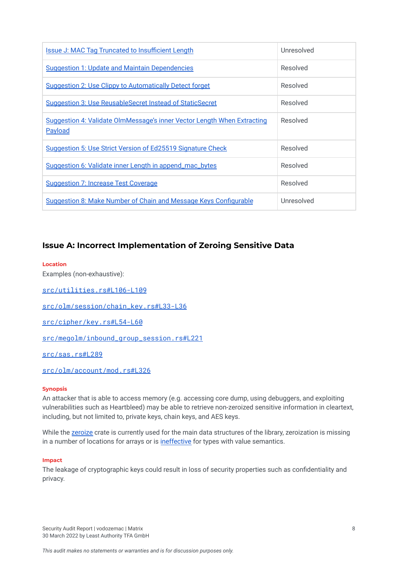| <b>Issue J: MAC Tag Truncated to Insufficient Length</b>                           | Unresolved |
|------------------------------------------------------------------------------------|------------|
| <b>Suggestion 1: Update and Maintain Dependencies</b>                              | Resolved   |
| <u><b>Suggestion 2: Use Clippy to Automatically Detect forget</b></u>              | Resolved   |
| <u>Suggestion 3: Use ReusableSecret Instead of StaticSecret</u>                    | Resolved   |
| Suggestion 4: Validate OlmMessage's inner Vector Length When Extracting<br>Payload | Resolved   |
| Suggestion 5: Use Strict Version of Ed25519 Signature Check                        | Resolved   |
| Suggestion 6: Validate inner Length in append_mac_bytes                            | Resolved   |
| <u><b>Suggestion 7: Increase Test Coverage</b></u>                                 | Resolved   |
| Suggestion 8: Make Number of Chain and Message Keys Configurable                   | Unresolved |

## <span id="page-8-0"></span>**Issue A: Incorrect Implementation of Zeroing Sensitive Data**

#### **Location**

Examples (non-exhaustive):

[src/utilities.rs#L106-L109](https://github.com/LeastAuthority/Matrix_Vodozemac/blob/master/src/utilities.rs#L106-L109)

[src/olm/session/chain\\_key.rs#L33-L36](https://github.com/LeastAuthority/Matrix_Vodozemac/blob/5512a8887c5050b768931ab17e163d57dd63d788/src/olm/session/chain_key.rs#L33-L36)

[src/cipher/key.rs#L54-L60](https://github.com/LeastAuthority/Matrix_Vodozemac/blob/5512a8887c5050b768931ab17e163d57dd63d788/src/cipher/key.rs#L54-L60)

[src/megolm/inbound\\_group\\_session.rs#L221](https://github.com/LeastAuthority/Matrix_Vodozemac/blob/42b130a0cfcdf8431d604d38056e8fe87282d57a/src/megolm/inbound_group_session.rs#L221)

[src/sas.rs#L289](https://github.com/LeastAuthority/Matrix_Vodozemac/blob/77dab30810c9439eb52b2be3224fdd4f9a96ea5e/src/sas.rs#L289)

[src/olm/account/mod.rs#L326](https://github.com/LeastAuthority/Matrix_Vodozemac/blob/7c11a501bc316a0bf92a5fe06fee8582aad24897/src/olm/account/mod.rs#L326)

#### **Synopsis**

An attacker that is able to access memory (e.g. accessing core dump, using debuggers, and exploiting vulnerabilities such as Heartbleed) may be able to retrieve non-zeroized sensitive information in cleartext, including, but not limited to, private keys, chain keys, and AES keys.

While the [zeroize](https://crates.io/crates/zeroize) crate is currently used for the main data structures of the library, zeroization is missing in a number of locations for arrays or is [ineffective](https://benma.github.io/2020/10/16/rust-zeroize-move.html) for types with value semantics.

#### **Impact**

The leakage of cryptographic keys could result in loss of security properties such as confidentiality and privacy.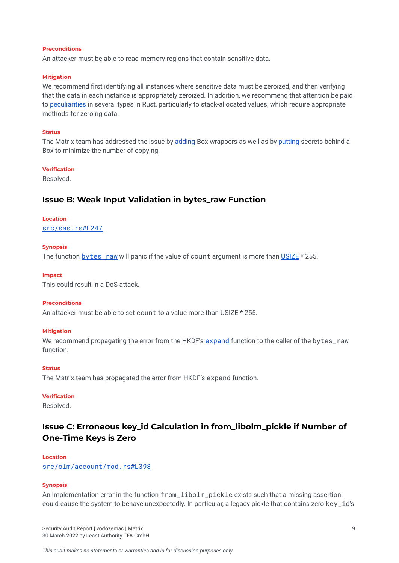#### **Preconditions**

An attacker must be able to read memory regions that contain sensitive data.

#### **Mitigation**

We recommend first identifying all instances where sensitive data must be zeroized, and then verifying that the data in each instance is appropriately zeroized. In addition, we recommend that attention be paid to [peculiarities](https://docs.rs/zeroize/1.4.3/zeroize/#stackheap-zeroing-notes) in several types in Rust, particularly to stack-allocated values, which require appropriate methods for zeroing data.

#### **Status**

The Matrix team has addressed the issue by [adding](https://github.com/matrix-org/vodozemac/pull/43) Box wrappers as well as by [putting](https://github.com/matrix-org/vodozemac/pull/46) secrets behind a Box to minimize the number of copying.

#### **Verification**

Resolved.

#### <span id="page-9-0"></span>**Issue B: Weak Input Validation in bytes\_raw Function**

## **Location**

[src/sas.rs#L247](https://github.com/LeastAuthority/Matrix_Vodozemac/blob/77dab30810c9439eb52b2be3224fdd4f9a96ea5e/src/sas.rs#L247)

#### **Synopsis**

The function  $bytes$  raw will panic if the value of count argument is more than  $USIZE * 255$  $USIZE * 255$ .

#### **Impact**

This could result in a DoS attack.

#### **Preconditions**

An attacker must be able to set count to a value more than USIZE \* 255.

#### **Mitigation**

We recommend propagating the error from the HKDF's [expand](https://github.com/RustCrypto/KDFs/blob/master/hkdf/src/lib.rs#L299) function to the caller of the bytes\_raw function.

#### **Status**

The Matrix team has propagated the error from HKDF's expand function.

#### **Verification**

Resolved.

## <span id="page-9-2"></span><span id="page-9-1"></span>**Issue C: Erroneous key\_id Calculation in from\_libolm\_pickle if Number of One-Time Keys is Zero**

## **Location**

[src/olm/account/mod.rs#L398](https://github.com/LeastAuthority/Matrix_Vodozemac/blob/7c11a501bc316a0bf92a5fe06fee8582aad24897/src/olm/account/mod.rs#L398)

#### **Synopsis**

An implementation error in the function from\_libolm\_pickle exists such that a missing assertion could cause the system to behave unexpectedly. In particular, a legacy pickle that contains zero key\_id's

Security Audit Report | vodozemac | Matrix 9 30 March 2022 by Least Authority TFA GmbH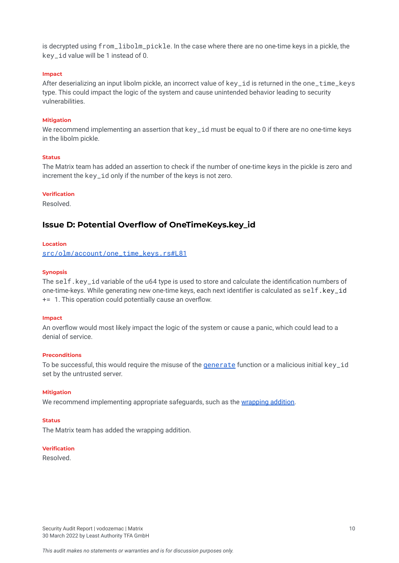is decrypted using from\_libolm\_pickle. In the case where there are no one-time keys in a pickle, the key id value will be 1 instead of 0.

#### **Impact**

After deserializing an input libolm pickle, an incorrect value of key\_id is returned in the one\_time\_keys type. This could impact the logic of the system and cause unintended behavior leading to security vulnerabilities.

#### **Mitigation**

We recommend implementing an assertion that key\_id must be equal to 0 if there are no one-time keys in the libolm pickle.

#### **Status**

The Matrix team has added an assertion to check if the number of one-time keys in the pickle is zero and increment the key\_id only if the number of the keys is not zero.

#### **Verification**

Resolved.

### <span id="page-10-0"></span>**Issue D: Potential Overflow of OneTimeKeys.key\_id**

#### **Location**

[src/olm/account/one\\_time\\_keys.rs#L81](https://github.com/LeastAuthority/Matrix_Vodozemac/blob/7c11a501bc316a0bf92a5fe06fee8582aad24897/src/olm/account/one_time_keys.rs#L81)

#### **Synopsis**

The self.key\_id variable of the u64 type is used to store and calculate the identification numbers of one-time-keys. While generating new one-time keys, each next identifier is calculated as self.key\_id += 1. This operation could potentially cause an overflow.

#### **Impact**

An overflow would most likely impact the logic of the system or cause a panic, which could lead to a denial of service.

#### **Preconditions**

To be successful, this would require the misuse of the *[generate](https://github.com/LeastAuthority/Matrix_Vodozemac/blob/7c11a501bc316a0bf92a5fe06fee8582aad24897/src/olm/account/one_time_keys.rs#L69)* function or a malicious initial key\_id set by the untrusted server.

#### **Mitigation**

We recommend implementing appropriate safeguards, such as the [wrapping](https://doc.rust-lang.org/std/primitive.u64.html#method.wrapping_add) addition.

#### **Status**

The Matrix team has added the wrapping addition.

#### **Verification**

Resolved.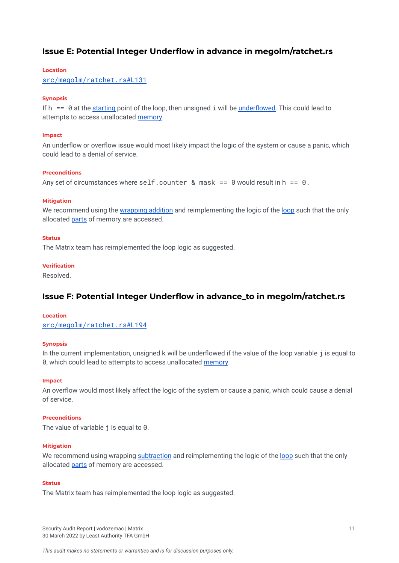## <span id="page-11-0"></span>**Issue E: Potential Integer Underflow in advance in megolm/ratchet.rs**

#### **Location**

[src/megolm/ratchet.rs#L131](https://github.com/LeastAuthority/Matrix_Vodozemac/blob/master/src/megolm/ratchet.rs#L131)

#### **Synopsis**

If  $h = 0$  at the [starting](https://github.com/LeastAuthority/Matrix_Vodozemac/blob/master/src/megolm/ratchet.rs#L146) point of the loop, then unsigned i will be [underflowed.](https://github.com/LeastAuthority/Matrix_Vodozemac/blob/master/src/megolm/ratchet.rs#L150) This could lead to attempts to access unallocated [memory](https://github.com/LeastAuthority/Matrix_Vodozemac/blob/master/src/megolm/ratchet.rs#L73).

#### **Impact**

An underflow or overflow issue would most likely impact the logic of the system or cause a panic, which could lead to a denial of service.

#### **Preconditions**

Any set of circumstances where self.counter & mask ==  $\theta$  would result in h ==  $\theta$ .

#### **Mitigation**

We recommend using the [wrapping](https://doc.rust-lang.org/std/primitive.u64.html#method.wrapping_add) addition and reimplementing the logic of the [loop](https://github.com/LeastAuthority/Matrix_Vodozemac/blob/master/src/megolm/ratchet.rs#L146) such that the only allocated [parts](https://github.com/LeastAuthority/Matrix_Vodozemac/blob/master/src/megolm/ratchet.rs#L148) of memory are accessed.

#### **Status**

The Matrix team has reimplemented the loop logic as suggested.

#### **Verification**

Resolved.

### <span id="page-11-1"></span>**Issue F: Potential Integer Underflow in advance\_to in megolm/ratchet.rs**

#### **Location**

[src/megolm/ratchet.rs#L194](https://github.com/LeastAuthority/Matrix_Vodozemac/blob/master/src/megolm/ratchet.rs#L194)

#### **Synopsis**

In the current implementation, unsigned k will be underflowed if the value of the loop variable j is equal to 0, which could lead to attempts to access unallocated [memory.](https://github.com/LeastAuthority/Matrix_Vodozemac/blob/master/src/megolm/ratchet.rs#L192)

#### **Impact**

An overflow would most likely affect the logic of the system or cause a panic, which could cause a denial of service.

#### **Preconditions**

The value of variable j is equal to 0.

#### **Mitigation**

We recommend using wrapping [subtraction](https://doc.rust-lang.org/std/primitive.u64.html#method.wrapping_sub) and reimplementing the logic of the [loop](https://github.com/LeastAuthority/Matrix_Vodozemac/blob/master/src/megolm/ratchet.rs#L190) such that the only allocated [parts](https://github.com/LeastAuthority/Matrix_Vodozemac/blob/master/src/megolm/ratchet.rs#L191) of memory are accessed.

#### **Status**

The Matrix team has reimplemented the loop logic as suggested.

Security Audit Report | vodozemac | Matrix 11 30 March 2022 by Least Authority TFA GmbH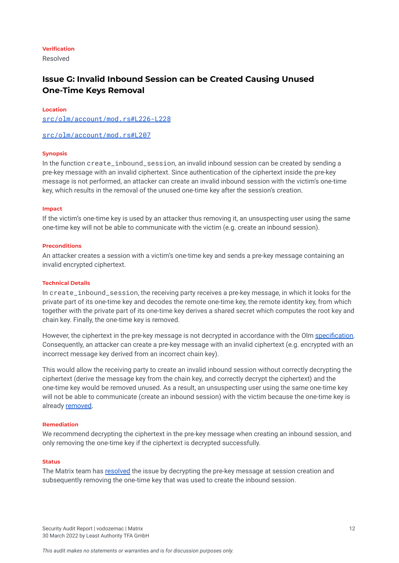#### **Verification**

Resolved

## <span id="page-12-1"></span><span id="page-12-0"></span>**Issue G: Invalid Inbound Session can be Created Causing Unused One-Time Keys Removal**

#### **Location**

[src/olm/account/mod.rs#L226-L228](https://github.com/LeastAuthority/Matrix_Vodozemac/blob/7c11a501bc316a0bf92a5fe06fee8582aad24897/src/olm/account/mod.rs#L226-L228)

[src/olm/account/mod.rs#L207](https://github.com/LeastAuthority/Matrix_Vodozemac/blob/7c11a501bc316a0bf92a5fe06fee8582aad24897/src/olm/account/mod.rs#L207)

#### **Synopsis**

In the function create inbound session, an invalid inbound session can be created by sending a pre-key message with an invalid ciphertext. Since authentication of the ciphertext inside the pre-key message is not performed, an attacker can create an invalid inbound session with the victim's one-time key, which results in the removal of the unused one-time key after the session's creation.

#### **Impact**

If the victim's one-time key is used by an attacker thus removing it, an unsuspecting user using the same one-time key will not be able to communicate with the victim (e.g. create an inbound session).

#### **Preconditions**

An attacker creates a session with a victim's one-time key and sends a pre-key message containing an invalid encrypted ciphertext.

#### **Technical Details**

In create inbound session, the receiving party receives a pre-key message, in which it looks for the private part of its one-time key and decodes the remote one-time key, the remote identity key, from which together with the private part of its one-time key derives a shared secret which computes the root key and chain key. Finally, the one-time key is removed.

However, the ciphertext in the pre-key message is not decrypted in accordance with the Olm [specification.](https://gitlab.matrix.org/matrix-org/olm/-/blob/master/docs/olm.md#creating-an-inbound-session-from-a-pre-key-message) Consequently, an attacker can create a pre-key message with an invalid ciphertext (e.g. encrypted with an incorrect message key derived from an incorrect chain key).

This would allow the receiving party to create an invalid inbound session without correctly decrypting the ciphertext (derive the message key from the chain key, and correctly decrypt the ciphertext) and the one-time key would be removed unused. As a result, an unsuspecting user using the same one-time key will not be able to communicate (create an inbound session) with the victim because the one-time key is already [removed.](https://github.com/LeastAuthority/Matrix_Vodozemac/blob/7c11a501bc316a0bf92a5fe06fee8582aad24897/src/olm/account/mod.rs#L207)

#### **Remediation**

We recommend decrypting the ciphertext in the pre-key message when creating an inbound session, and only removing the one-time key if the ciphertext is decrypted successfully.

#### **Status**

The Matrix team has [resolved](https://github.com/matrix-org/vodozemac/pull/8) the issue by decrypting the pre-key message at session creation and subsequently removing the one-time key that was used to create the inbound session.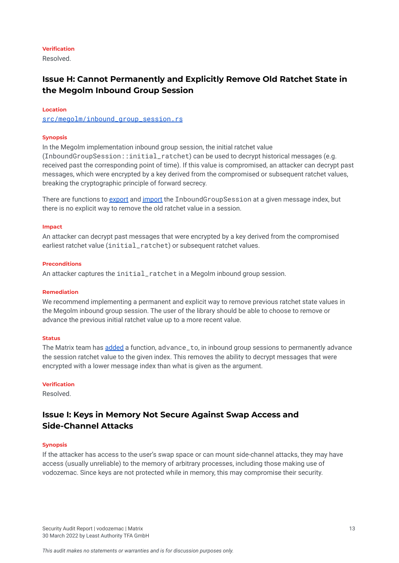#### **Verification**

Resolved.

## <span id="page-13-2"></span><span id="page-13-0"></span>**Issue H: Cannot Permanently and Explicitly Remove Old Ratchet State in the Megolm Inbound Group Session**

#### **Location**

[src/megolm/inbound\\_group\\_session.rs](https://github.com/LeastAuthority/Matrix_Vodozemac/blob/master/src/megolm/inbound_group_session.rs)

#### **Synopsis**

In the Megolm implementation inbound group session, the initial ratchet value (InboundGroupSession::initial\_ratchet) can be used to decrypt historical messages (e.g. received past the corresponding point of time). If this value is compromised, an attacker can decrypt past messages, which were encrypted by a key derived from the compromised or subsequent ratchet values, breaking the cryptographic principle of forward secrecy.

There are functions to [export](https://github.com/LeastAuthority/Matrix_Vodozemac/blob/master/src/megolm/inbound_group_session.rs#L207) and [import](https://github.com/LeastAuthority/Matrix_Vodozemac/blob/master/src/megolm/inbound_group_session.rs#L110) the InboundGroupSession at a given message index, but there is no explicit way to remove the old ratchet value in a session.

#### **Impact**

An attacker can decrypt past messages that were encrypted by a key derived from the compromised earliest ratchet value (initial ratchet) or subsequent ratchet values.

#### **Preconditions**

An attacker captures the initial\_ratchet in a Megolm inbound group session.

#### **Remediation**

We recommend implementing a permanent and explicit way to remove previous ratchet state values in the Megolm inbound group session. The user of the library should be able to choose to remove or advance the previous initial ratchet value up to a more recent value.

#### **Status**

The Matrix team has [added](https://github.com/matrix-org/vodozemac/pull/30) a function, advance\_to, in inbound group sessions to permanently advance the session ratchet value to the given index. This removes the ability to decrypt messages that were encrypted with a lower message index than what is given as the argument.

#### **Verification**

Resolved.

## <span id="page-13-3"></span><span id="page-13-1"></span>**Issue I: Keys in Memory Not Secure Against Swap Access and Side-Channel Attacks**

#### **Synopsis**

If the attacker has access to the user's swap space or can mount side-channel attacks, they may have access (usually unreliable) to the memory of arbitrary processes, including those making use of vodozemac. Since keys are not protected while in memory, this may compromise their security.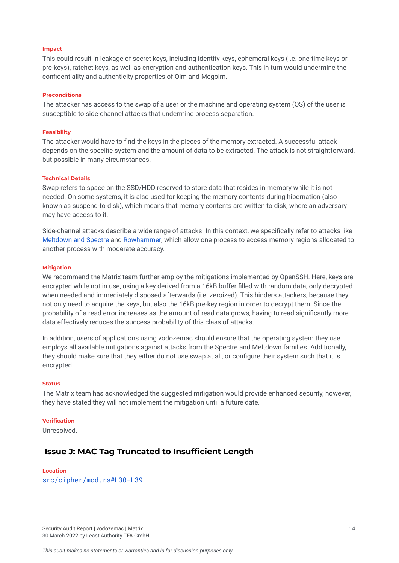#### **Impact**

This could result in leakage of secret keys, including identity keys, ephemeral keys (i.e. one-time keys or pre-keys), ratchet keys, as well as encryption and authentication keys. This in turn would undermine the confidentiality and authenticity properties of Olm and Megolm.

#### **Preconditions**

The attacker has access to the swap of a user or the machine and operating system (OS) of the user is susceptible to side-channel attacks that undermine process separation.

#### **Feasibility**

The attacker would have to find the keys in the pieces of the memory extracted. A successful attack depends on the specific system and the amount of data to be extracted. The attack is not straightforward, but possible in many circumstances.

#### **Technical Details**

Swap refers to space on the SSD/HDD reserved to store data that resides in memory while it is not needed. On some systems, it is also used for keeping the memory contents during hibernation (also known as suspend-to-disk), which means that memory contents are written to disk, where an adversary may have access to it.

Side-channel attacks describe a wide range of attacks. In this context, we specifically refer to attacks like [Meltdown](https://meltdownattack.com/) and Spectre and [Rowhammer,](https://en.wikipedia.org/wiki/Row_hammer) which allow one process to access memory regions allocated to another process with moderate accuracy.

#### **Mitigation**

We recommend the Matrix team further employ the mitigations implemented by OpenSSH. Here, keys are encrypted while not in use, using a key derived from a 16kB buffer filled with random data, only decrypted when needed and immediately disposed afterwards (i.e. zeroized). This hinders attackers, because they not only need to acquire the keys, but also the 16kB pre-key region in order to decrypt them. Since the probability of a read error increases as the amount of read data grows, having to read significantly more data effectively reduces the success probability of this class of attacks.

In addition, users of applications using vodozemac should ensure that the operating system they use employs all available mitigations against attacks from the Spectre and Meltdown families. Additionally, they should make sure that they either do not use swap at all, or configure their system such that it is encrypted.

#### **Status**

The Matrix team has acknowledged the suggested mitigation would provide enhanced security, however, they have stated they will not implement the mitigation until a future date.

#### **Verification**

Unresolved.

### <span id="page-14-0"></span>**Issue J: MAC Tag Truncated to Insufficient Length**

#### **Location**

[src/cipher/mod.rs#L30-L39](https://github.com/LeastAuthority/Matrix_Vodozemac/blob/master/src/cipher/mod.rs#L30-L39)

Security Audit Report | vodozemac | Matrix 14 30 March 2022 by Least Authority TFA GmbH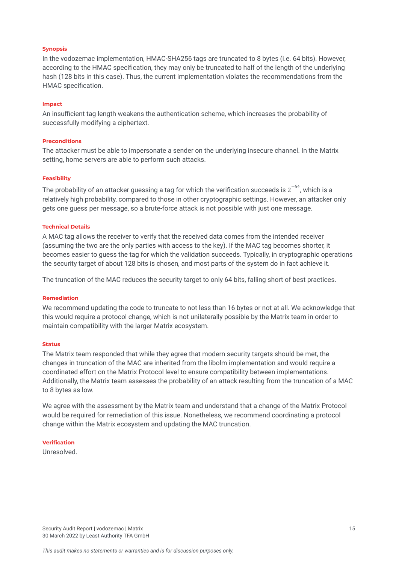#### **Synopsis**

In the vodozemac implementation, HMAC-SHA256 tags are truncated to 8 bytes (i.e. 64 bits). However, according to the HMAC specification, they may only be truncated to half of the length of the underlying hash (128 bits in this case). Thus, the current implementation violates the recommendations from the HMAC specification.

#### **Impact**

An insufficient tag length weakens the authentication scheme, which increases the probability of successfully modifying a ciphertext.

#### **Preconditions**

The attacker must be able to impersonate a sender on the underlying insecure channel. In the Matrix setting, home servers are able to perform such attacks.

#### **Feasibility**

The probability of an attacker guessing a tag for which the verification succeeds is 2 $^{-64}$ , which is a relatively high probability, compared to those in other cryptographic settings. However, an attacker only gets one guess per message, so a brute-force attack is not possible with just one message.

#### **Technical Details**

A MAC tag allows the receiver to verify that the received data comes from the intended receiver (assuming the two are the only parties with access to the key). If the MAC tag becomes shorter, it becomes easier to guess the tag for which the validation succeeds. Typically, in cryptographic operations the security target of about 128 bits is chosen, and most parts of the system do in fact achieve it.

The truncation of the MAC reduces the security target to only 64 bits, falling short of best practices.

#### **Remediation**

We recommend updating the code to truncate to not less than 16 bytes or not at all. We acknowledge that this would require a protocol change, which is not unilaterally possible by the Matrix team in order to maintain compatibility with the larger Matrix ecosystem.

#### **Status**

The Matrix team responded that while they agree that modern security targets should be met, the changes in truncation of the MAC are inherited from the libolm implementation and would require a coordinated effort on the Matrix Protocol level to ensure compatibility between implementations. Additionally, the Matrix team assesses the probability of an attack resulting from the truncation of a MAC to 8 bytes as low.

We agree with the assessment by the Matrix team and understand that a change of the Matrix Protocol would be required for remediation of this issue. Nonetheless, we recommend coordinating a protocol change within the Matrix ecosystem and updating the MAC truncation.

#### **Verification**

Unresolved.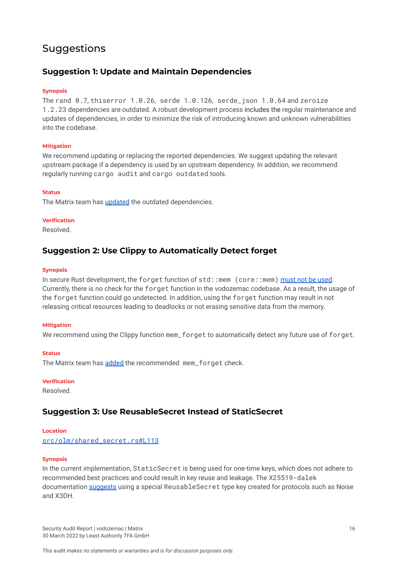## <span id="page-16-0"></span>Suggestions

## <span id="page-16-1"></span>**Suggestion 1: Update and Maintain Dependencies**

#### **Synopsis**

The rand 0.7, thiserror 1.0.26, serde 1.0.126, serde\_json 1.0.64 and zeroize 1.2.23 dependencies are outdated. A robust development process includes the regular maintenance and updates of dependencies, in order to minimize the risk of introducing known and unknown vulnerabilities into the codebase.

#### **Mitigation**

We recommend updating or replacing the reported dependencies. We suggest updating the relevant upstream package if a dependency is used by an upstream dependency. In addition, we recommend regularly running cargo audit and cargo outdated tools.

#### **Status**

The Matrix team has [updated](https://github.com/matrix-org/vodozemac/commit/412947d54c403d2a13e7fac7a2b4c3f5db337a91) the outdated dependencies.

#### **Verification**

Resolved.

### <span id="page-16-2"></span>**Suggestion 2: Use Clippy to Automatically Detect forget**

#### **Synopsis**

In secure Rust development, the forget function of std::mem (core::mem) [must](https://anssi-fr.github.io/rust-guide/05_memory.html#MEM-FORGET) not be used. Currently, there is no check for the forget function in the vodozemac codebase. As a result, the usage of the forget function could go undetected. In addition, using the forget function may result in not releasing critical resources leading to deadlocks or not erasing sensitive data from the memory.

#### **Mitigation**

We recommend using the Clippy function mem forget to automatically detect any future use of forget.

#### **Status**

The Matrix team has [added](https://github.com/matrix-org/vodozemac/pull/13) the recommended mem for get check.

#### **Verification**

Resolved.

## <span id="page-16-3"></span>**Suggestion 3: Use ReusableSecret Instead of StaticSecret**

#### **Location**

[src/olm/shared\\_secret.rs#L113](https://github.com/LeastAuthority/Matrix_Vodozemac/blob/a6eb075c58010c649bec2b2bedeb41bca11f15ae/src/olm/shared_secret.rs#L113)

#### **Synopsis**

In the current implementation, StaticSecret is being used for one-time keys, which does not adhere to recommended best practices and could result in key reuse and leakage. The X25519-dalek documentation [suggests](https://docs.rs/x25519-dalek/1.2.0/x25519_dalek/struct.ReusableSecret.html) using a special ReusableSecret type key created for protocols such as Noise and X3DH.

Security Audit Report | vodozemac | Matrix 16 30 March 2022 by Least Authority TFA GmbH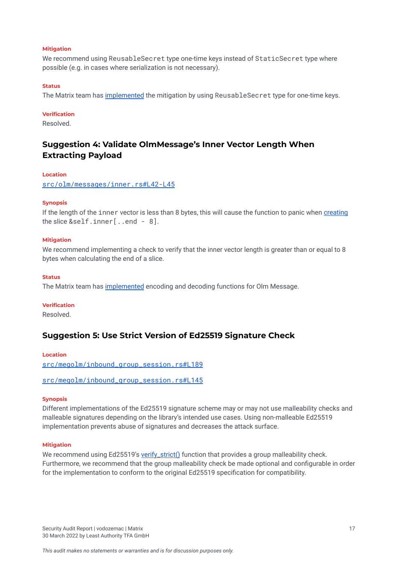#### **Mitigation**

We recommend using ReusableSecret type one-time keys instead of StaticSecret type where possible (e.g. in cases where serialization is not necessary).

#### **Status**

The Matrix team has [implemented](https://github.com/matrix-org/vodozemac/pull/4) the mitigation by using ReusableSecret type for one-time keys.

#### **Verification**

Resolved.

## <span id="page-17-2"></span><span id="page-17-0"></span>**Suggestion 4: Validate OlmMessage's Inner Vector Length When Extracting Payload**

#### **Location**

[src/olm/messages/inner.rs#L42-L45](https://github.com/LeastAuthority/Matrix_Vodozemac/blob/3f3250fe13b2675ce985729153976f0893f9b9e0/src/olm/messages/inner.rs#L42-L45)

#### **Synopsis**

If the length of the inner vector is less than 8 bytes, this will cause the function to panic when [creating](https://github.com/LeastAuthority/Matrix_Vodozemac/blob/3f3250fe13b2675ce985729153976f0893f9b9e0/src/olm/messages/inner.rs#L44) the slice &self.inner[..end - 8].

#### **Mitigation**

We recommend implementing a check to verify that the inner vector length is greater than or equal to 8 bytes when calculating the end of a slice.

#### **Status**

The Matrix team has *[implemented](https://github.com/matrix-org/vodozemac/pull/16)* encoding and decoding functions for Olm Message.

#### **Verification**

Resolved.

### <span id="page-17-1"></span>**Suggestion 5: Use Strict Version of Ed25519 Signature Check**

#### **Location** [src/megolm/inbound\\_group\\_session.rs#L189](https://github.com/LeastAuthority/Matrix_Vodozemac/blob/42b130a0cfcdf8431d604d38056e8fe87282d57a/src/megolm/inbound_group_session.rs#L189)

[src/megolm/inbound\\_group\\_session.rs#L145](https://github.com/LeastAuthority/Matrix_Vodozemac/blob/42b130a0cfcdf8431d604d38056e8fe87282d57a/src/megolm/inbound_group_session.rs#L145)

#### **Synopsis**

Different implementations of the Ed25519 signature scheme may or may not use malleability checks and malleable signatures depending on the library's intended use cases. Using non-malleable Ed25519 implementation prevents abuse of signatures and decreases the attack surface.

#### **Mitigation**

We recommend using Ed25519's [verify\\_strict\(\)](https://docs.rs/ed25519-dalek/latest/ed25519_dalek/struct.PublicKey.html#method.verify_strict) function that provides a group malleability check. Furthermore, we recommend that the group malleability check be made optional and configurable in order for the implementation to conform to the original Ed25519 specification for compatibility.

Security Audit Report | vodozemac | Matrix 17 30 March 2022 by Least Authority TFA GmbH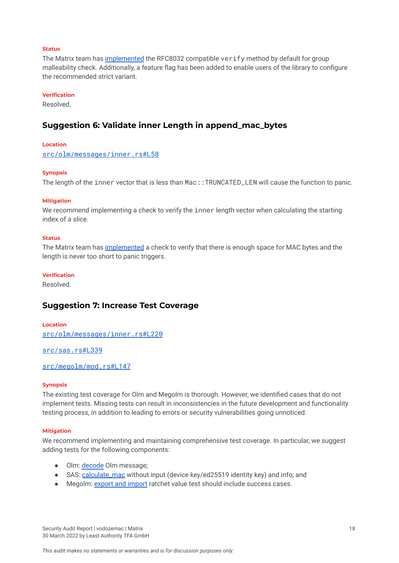#### **Status**

The Matrix team has [implemented](https://github.com/matrix-org/vodozemac/pull/15) the RFC8032 compatible verify method by default for group malleability check. Additionally, a feature flag has been added to enable users of the library to configure the recommended strict variant.

#### **Verification**

Resolved.

#### <span id="page-18-0"></span>**Suggestion 6: Validate inner Length in append\_mac\_bytes**

#### **Location**

[src/olm/messages/inner.rs#L58](https://github.com/LeastAuthority/Matrix_Vodozemac/blob/3f3250fe13b2675ce985729153976f0893f9b9e0/src/olm/messages/inner.rs#L58)

#### **Synopsis**

The length of the inner vector that is less than Mac::TRUNCATED\_LEN will cause the function to panic.

#### **Mitigation**

We recommend implementing a check to verify the inner length vector when calculating the starting index of a slice.

#### **Status**

The Matrix team has [implemented](https://github.com/matrix-org/vodozemac/pull/16) a check to verify that there is enough space for MAC bytes and the length is never too short to panic triggers.

#### **Verification**

Resolved.

#### <span id="page-18-1"></span>**Suggestion 7: Increase Test Coverage**

**Location** [src/olm/messages/inner.rs#L220](https://github.com/LeastAuthority/Matrix_Vodozemac/blob/master/src/olm/messages/inner.rs#L220)

[src/sas.rs#L339](https://github.com/LeastAuthority/Matrix_Vodozemac/blob/master/src/sas.rs#L339)

#### [src/megolm/mod.rs#L147](https://github.com/LeastAuthority/Matrix_Vodozemac/blob/master/src/megolm/mod.rs#L147)

#### **Synopsis**

The existing test coverage for Olm and Megolm is thorough. However, we identified cases that do not implement tests. Missing tests can result in inconsistencies in the future development and functionality testing process, in addition to leading to errors or security vulnerabilities going unnoticed.

#### **Mitigation**

We recommend implementing and maintaining comprehensive test coverage. In particular, we suggest adding tests for the following components:

- Olm: [decode](https://github.com/LeastAuthority/Matrix_Vodozemac/blob/master/src/olm/messages/inner.rs#L220) Olm message;
- SAS: [calculate\\_mac](https://github.com/LeastAuthority/Matrix_Vodozemac/blob/master/src/sas.rs#L339) without input (device key/ed25519 identity key) and info; and
- Megolm: export and [import](https://github.com/LeastAuthority/Matrix_Vodozemac/blob/master/src/megolm/mod.rs#L147) ratchet value test should include success cases.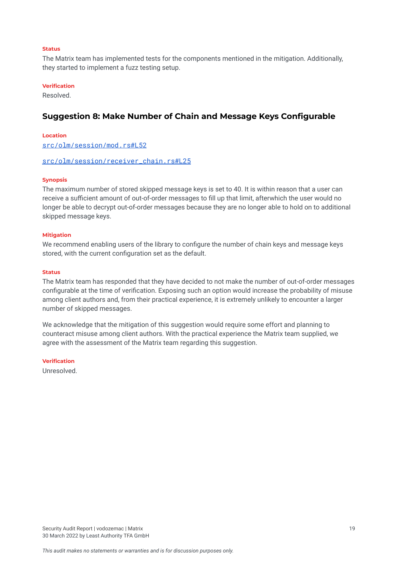#### **Status**

The Matrix team has implemented tests for the components mentioned in the mitigation. Additionally, they started to implement a fuzz testing setup.

#### **Verification**

Resolved.

### <span id="page-19-0"></span>**Suggestion 8: Make Number of Chain and Message Keys Configurable**

**Location** [src/olm/session/mod.rs#L52](https://github.com/LeastAuthority/Matrix_Vodozemac/blob/master/src/olm/session/mod.rs#L52)

#### [src/olm/session/receiver\\_chain.rs#L25](https://github.com/LeastAuthority/Matrix_Vodozemac/blob/master/src/olm/session/receiver_chain.rs#L25)

#### **Synopsis**

The maximum number of stored skipped message keys is set to 40. It is within reason that a user can receive a sufficient amount of out-of-order messages to fill up that limit, afterwhich the user would no longer be able to decrypt out-of-order messages because they are no longer able to hold on to additional skipped message keys.

#### **Mitigation**

We recommend enabling users of the library to configure the number of chain keys and message keys stored, with the current configuration set as the default.

#### **Status**

The Matrix team has responded that they have decided to not make the number of out-of-order messages configurable at the time of verification. Exposing such an option would increase the probability of misuse among client authors and, from their practical experience, it is extremely unlikely to encounter a larger number of skipped messages.

We acknowledge that the mitigation of this suggestion would require some effort and planning to counteract misuse among client authors. With the practical experience the Matrix team supplied, we agree with the assessment of the Matrix team regarding this suggestion.

#### **Verification**

Unresolved.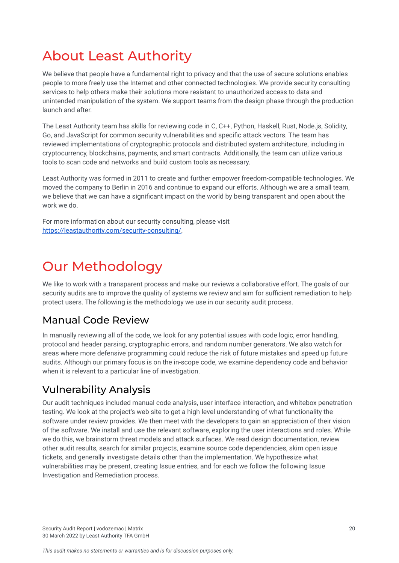## <span id="page-20-0"></span>About Least Authority

We believe that people have a fundamental right to privacy and that the use of secure solutions enables people to more freely use the Internet and other connected technologies. We provide security consulting services to help others make their solutions more resistant to unauthorized access to data and unintended manipulation of the system. We support teams from the design phase through the production launch and after.

The Least Authority team has skills for reviewing code in C, C++, Python, Haskell, Rust, Node.js, Solidity, Go, and JavaScript for common security vulnerabilities and specific attack vectors. The team has reviewed implementations of cryptographic protocols and distributed system architecture, including in cryptocurrency, blockchains, payments, and smart contracts. Additionally, the team can utilize various tools to scan code and networks and build custom tools as necessary.

Least Authority was formed in 2011 to create and further empower freedom-compatible technologies. We moved the company to Berlin in 2016 and continue to expand our efforts. Although we are a small team, we believe that we can have a significant impact on the world by being transparent and open about the work we do.

For more information about our security consulting, please visit [https://leastauthority.com/security-consulting/.](https://leastauthority.com/security-consulting/)

## <span id="page-20-1"></span>Our Methodology

We like to work with a transparent process and make our reviews a collaborative effort. The goals of our security audits are to improve the quality of systems we review and aim for sufficient remediation to help protect users. The following is the methodology we use in our security audit process.

## Manual Code Review

In manually reviewing all of the code, we look for any potential issues with code logic, error handling, protocol and header parsing, cryptographic errors, and random number generators. We also watch for areas where more defensive programming could reduce the risk of future mistakes and speed up future audits. Although our primary focus is on the in-scope code, we examine dependency code and behavior when it is relevant to a particular line of investigation.

## Vulnerability Analysis

Our audit techniques included manual code analysis, user interface interaction, and whitebox penetration testing. We look at the project's web site to get a high level understanding of what functionality the software under review provides. We then meet with the developers to gain an appreciation of their vision of the software. We install and use the relevant software, exploring the user interactions and roles. While we do this, we brainstorm threat models and attack surfaces. We read design documentation, review other audit results, search for similar projects, examine source code dependencies, skim open issue tickets, and generally investigate details other than the implementation. We hypothesize what vulnerabilities may be present, creating Issue entries, and for each we follow the following Issue Investigation and Remediation process.